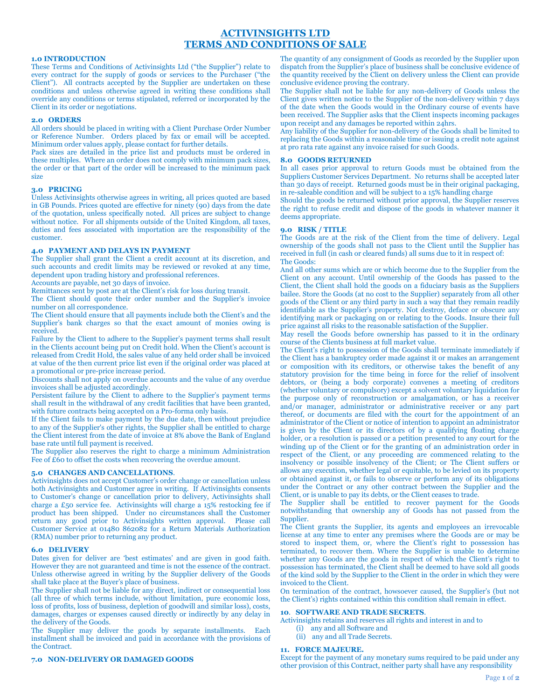# **ACTIVINSIGHTS LTD TERMS AND CONDITIONS OF SALE**

## **1.0 INTRODUCTION**

These Terms and Conditions of Activinsights Ltd ("the Supplier") relate to every contract for the supply of goods or services to the Purchaser ("the Client"). All contracts accepted by the Supplier are undertaken on these conditions and unless otherwise agreed in writing these conditions shall override any conditions or terms stipulated, referred or incorporated by the Client in its order or negotiations.

# **2.0 ORDERS**

All orders should be placed in writing with a Client Purchase Order Number or Reference Number. Orders placed by fax or email will be accepted. Minimum order values apply, please contact for further details.

Pack sizes are detailed in the price list and products must be ordered in these multiples. Where an order does not comply with minimum pack sizes, the order or that part of the order will be increased to the minimum pack size

#### **3.0 PRICING**

Unless Activinsights otherwise agrees in writing, all prices quoted are based in GB Pounds. Prices quoted are effective for ninety (90) days from the date of the quotation, unless specifically noted. All prices are subject to change without notice. For all shipments outside of the United Kingdom, all taxes, duties and fees associated with importation are the responsibility of the customer.

# **4.0 PAYMENT AND DELAYS IN PAYMENT**

The Supplier shall grant the Client a credit account at its discretion, and such accounts and credit limits may be reviewed or revoked at any time, dependent upon trading history and professional references.

Accounts are payable, net 30 days of invoice.

Remittances sent by post are at the Client's risk for loss during transit.

The Client should quote their order number and the Supplier's invoice number on all correspondence.

The Client should ensure that all payments include both the Client's and the Supplier's bank charges so that the exact amount of monies owing is received.

Failure by the Client to adhere to the Supplier's payment terms shall result in the Clients account being put on Credit hold. When the Client's account is released from Credit Hold, the sales value of any held order shall be invoiced at value of the then current price list even if the original order was placed at a promotional or pre-price increase period.

Discounts shall not apply on overdue accounts and the value of any overdue invoices shall be adjusted accordingly.

Persistent failure by the Client to adhere to the Supplier's payment terms shall result in the withdrawal of any credit facilities that have been granted, with future contracts being accepted on a Pro-forma only basis.

If the Client fails to make payment by the due date, then without prejudice to any of the Supplier's other rights, the Supplier shall be entitled to charge the Client interest from the date of invoice at 8% above the Bank of England base rate until full payment is received.

The Supplier also reserves the right to charge a minimum Administration Fee of  $\overline{E60}$  to offset the costs when recovering the overdue amount.

#### **5.0 CHANGES AND CANCELLATIONS**.

Activinsights does not accept Customer's order change or cancellation unless both Activinsights and Customer agree in writing. If Activinsights consents to Customer's change or cancellation prior to delivery, Activinsights shall charge a £50 service fee. Activinsights will charge a 15% restocking fee if product has been shipped. Under no circumstances shall the Customer return any good prior to Activinsights written approval. Please call Customer Service at 01480 862082 for a Return Materials Authorization (RMA) number prior to returning any product.

#### **6.0 DELIVERY**

Dates given for deliver are 'best estimates' and are given in good faith. However they are not guaranteed and time is not the essence of the contract. Unless otherwise agreed in writing by the Supplier delivery of the Goods shall take place at the Buyer's place of business.

The Supplier shall not be liable for any direct, indirect or consequential loss (all three of which terms include, without limitation, pure economic loss, loss of profits, loss of business, depletion of goodwill and similar loss), costs, damages, charges or expenses caused directly or indirectly by any delay in the delivery of the Goods.

The Supplier may deliver the goods by separate installments. Each installment shall be invoiced and paid in accordance with the provisions of the Contract.

#### **7.0 NON-DELIVERY OR DAMAGED GOODS**

The quantity of any consignment of Goods as recorded by the Supplier upon dispatch from the Supplier's place of business shall be conclusive evidence of the quantity received by the Client on delivery unless the Client can provide conclusive evidence proving the contrary.

The Supplier shall not be liable for any non-delivery of Goods unless the Client gives written notice to the Supplier of the non-delivery within 7 days of the date when the Goods would in the Ordinary course of events have been received. The Supplier asks that the Client inspects incoming packages upon receipt and any damages be reported within 24hrs.

Any liability of the Supplier for non-delivery of the Goods shall be limited to replacing the Goods within a reasonable time or issuing a credit note against at pro rata rate against any invoice raised for such Goods.

#### **8.0 GOODS RETURNED**

In all cases prior approval to return Goods must be obtained from the Suppliers Customer Services Department. No returns shall be accepted later than 30 days of receipt. Returned goods must be in their original packaging, in re-saleable condition and will be subject to a 15% handling charge

Should the goods be returned without prior approval, the Supplier reserves the right to refuse credit and dispose of the goods in whatever manner it deems appropriate.

#### **9.0 RISK / TITLE**

The Goods are at the risk of the Client from the time of delivery. Legal ownership of the goods shall not pass to the Client until the Supplier has received in full (in cash or cleared funds) all sums due to it in respect of: The Goods:

And all other sums which are or which become due to the Supplier from the Client on any account. Until ownership of the Goods has passed to the Client, the Client shall hold the goods on a fiduciary basis as the Suppliers bailee. Store the Goods (at no cost to the Supplier) separately from all other goods of the Client or any third party in such a way that they remain readily identifiable as the Supplier's property. Not destroy, deface or obscure any identifying mark or packaging on or relating to the Goods. Insure their full price against all risks to the reasonable satisfaction of the Supplier.

May resell the Goods before ownership has passed to it in the ordinary course of the Clients business at full market value.

The Client's right to possession of the Goods shall terminate immediately if the Client has a bankruptcy order made against it or makes an arrangement or composition with its creditors, or otherwise takes the benefit of any statutory provision for the time being in force for the relief of insolvent debtors, or (being a body corporate) convenes a meeting of creditors (whether voluntary or compulsory) except a solvent voluntary liquidation for the purpose only of reconstruction or amalgamation, or has a receiver and/or manager, administrator or administrative receiver or any part thereof, or documents are filed with the court for the appointment of an administrator of the Client or notice of intention to appoint an administrator is given by the Client or its directors of by a qualifying floating charge holder, or a resolution is passed or a petition presented to any court for the winding up of the Client or for the granting of an administration order in respect of the Client, or any proceeding are commenced relating to the insolvency or possible insolvency of the Client; or The Client suffers or allows any execution, whether legal or equitable, to be levied on its property or obtained against it, or fails to observe or perform any of its obligations under the Contract or any other contract between the Supplier and the Client, or is unable to pay its debts, or the Client ceases to trade.

The Supplier shall be entitled to recover payment for the Goods notwithstanding that ownership any of Goods has not passed from the Supplier.

The Client grants the Supplier, its agents and employees an irrevocable license at any time to enter any premises where the Goods are or may be stored to inspect them, or, where the Client's right to possession has terminated, to recover them. Where the Supplier is unable to determine whether any Goods are the goods in respect of which the Client's right to possession has terminated, the Client shall be deemed to have sold all goods of the kind sold by the Supplier to the Client in the order in which they were invoiced to the Client.

On termination of the contract, howsoever caused, the Supplier's (but not the Client's) rights contained within this condition shall remain in effect.

#### **10**. **SOFTWARE AND TRADE SECRETS**.

Activinsights retains and reserves all rights and interest in and to

- (i) any and all Software and
- (ii) any and all Trade Secrets.

# **11. FORCE MAJEURE.**

Except for the payment of any monetary sums required to be paid under any other provision of this Contract, neither party shall have any responsibility